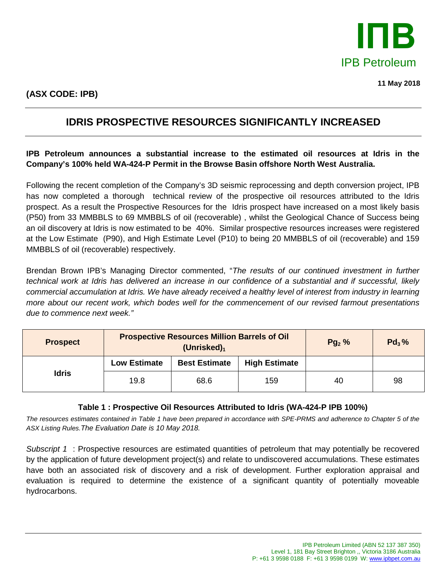

**11 May 2018**

# **IDRIS PROSPECTIVE RESOURCES SIGNIFICANTLY INCREASED**

## **IPB Petroleum announces a substantial increase to the estimated oil resources at Idris in the Company's 100% held WA-424-P Permit in the Browse Basin offshore North West Australia.**

Following the recent completion of the Company's 3D seismic reprocessing and depth conversion project, IPB has now completed a thorough technical review of the prospective oil resources attributed to the Idris prospect. As a result the Prospective Resources for the Idris prospect have increased on a most likely basis (P50) from 33 MMBBLS to 69 MMBBLS of oil (recoverable) , whilst the Geological Chance of Success being an oil discovery at Idris is now estimated to be 40%. Similar prospective resources increases were registered at the Low Estimate (P90), and High Estimate Level (P10) to being 20 MMBBLS of oil (recoverable) and 159 MMBBLS of oil (recoverable) respectively.

Brendan Brown IPB's Managing Director commented, "*The results of our continued investment in further technical work at Idris has delivered an increase in our confidence of a substantial and if successful, likely commercial accumulation at Idris. We have already received a healthy level of interest from industry in learning more about our recent work, which bodes well for the commencement of our revised farmout presentations due to commence next week."*

| <b>Prospect</b> | <b>Prospective Resources Million Barrels of Oil</b><br>(Unrisked) <sub>1</sub> |                      |                      | $Pg_2$ % | $Pd_3%$ |
|-----------------|--------------------------------------------------------------------------------|----------------------|----------------------|----------|---------|
| <b>Idris</b>    | <b>Low Estimate</b>                                                            | <b>Best Estimate</b> | <b>High Estimate</b> |          |         |
|                 | 19.8                                                                           | 68.6                 | 159                  | 40       | 98      |

## **Table 1 : Prospective Oil Resources Attributed to Idris (WA-424-P IPB 100%)**

*The resources estimates contained in Table 1 have been prepared in accordance with SPE-PRMS and adherence to Chapter 5 of the ASX Listing Rules.The Evaluation Date is 10 May 2018.*

*Subscript 1* : Prospective resources are estimated quantities of petroleum that may potentially be recovered by the application of future development project(s) and relate to undiscovered accumulations. These estimates have both an associated risk of discovery and a risk of development. Further exploration appraisal and evaluation is required to determine the existence of a significant quantity of potentially moveable hydrocarbons.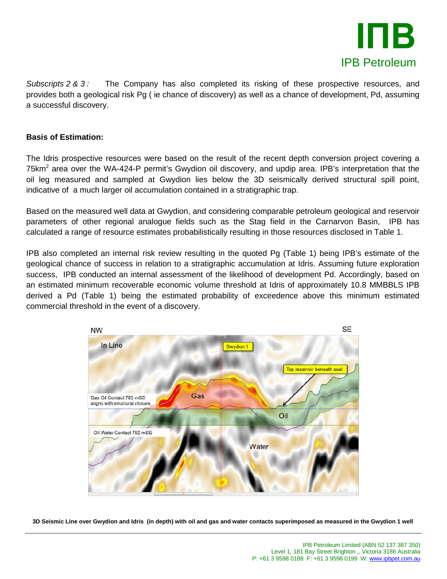

*Subscripts 2 & 3 :* The Company has also completed its risking of these prospective resources, and provides both a geological risk Pg ( ie chance of discovery) as well as a chance of development, Pd, assuming a successful discovery.

## **Basis of Estimation:**

The Idris prospective resources were based on the result of the recent depth conversion project covering a 75km<sup>2</sup> area over the WA-424-P permit's Gwydion oil discovery, and updip area. IPB's interpretation that the oil leg measured and sampled at Gwydion lies below the 3D seismically derived structural spill point, indicative of a much larger oil accumulation contained in a stratigraphic trap.

Based on the measured well data at Gwydion, and considering comparable petroleum geological and reservoir parameters of other regional analogue fields such as the Stag field in the Carnarvon Basin, IPB has calculated a range of resource estimates probabilistically resulting in those resources disclosed in Table 1.

IPB also completed an internal risk review resulting in the quoted Pg (Table 1) being IPB's estimate of the geological chance of success in relation to a stratigraphic accumulation at Idris. Assuming future exploration success, IPB conducted an internal assessment of the likelihood of development Pd. Accordingly, based on an estimated minimum recoverable economic volume threshold at Idris of approximately 10.8 MMBBLS IPB derived a Pd (Table 1) being the estimated probability of exceedence above this minimum estimated commercial threshold in the event of a discovery.



**3D Seismic Line over Gwydion and Idris (in depth) with oil and gas and water contacts superimposed as measured in the Gwydion 1 well**